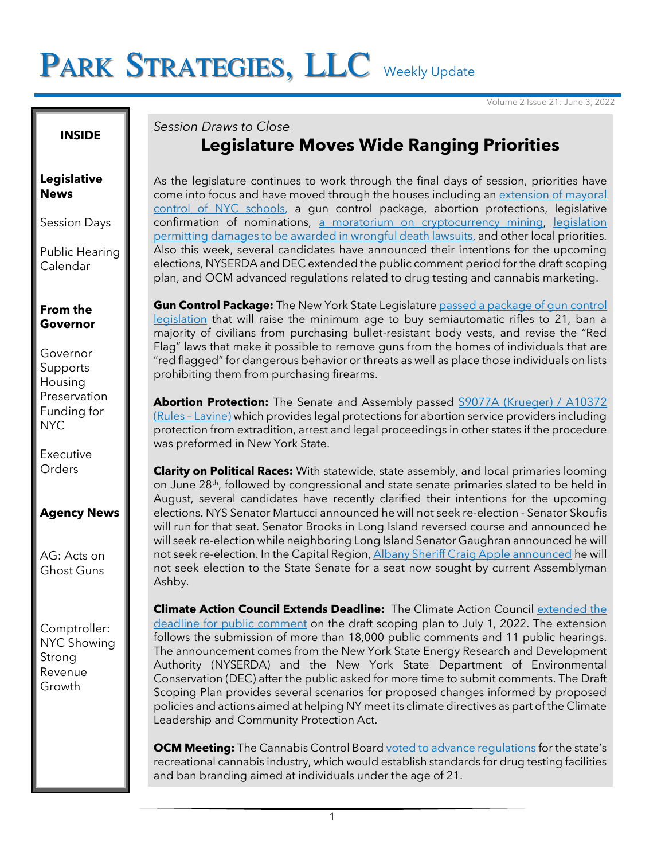# PARK STRATEGIES, LLC Weekly Update

Volume 2 Issue 21: June 3, 2022

#### **INSIDE**

#### **Legislative News**

Session Days

Public Hearing Calendar

#### **From the Governor**

Governor Supports Housing Preservation Funding for NYC

Executive **Orders** 

#### **Agency News**

AG: Acts on Ghost Guns

Comptroller: NYC Showing Strong Revenue Growth

### *Session Draws to Close* **Legislature Moves Wide Ranging Priorities**

As the legislature continues to work through the final days of session, priorities have come into focus and have moved through the houses including an extension of mayoral [control of NYC schools,](https://twitter.com/ZackFinkNews/status/1532445589056651265) a gun control package, abortion protections, legislative confirmation of nominations, [a moratorium on cryptocurrency mining,](https://www.nysenate.gov/legislation/bills/2021/s6486/amendment/d) [legislation](https://www.nysenate.gov/legislation/bills/2021/s74/amendment/a)  [permitting damages to be awarded in wrongful death lawsuits,](https://www.nysenate.gov/legislation/bills/2021/s74/amendment/a) and other local priorities. Also this week, several candidates have announced their intentions for the upcoming elections, NYSERDA and DEC extended the public comment period for the draft scoping plan, and OCM advanced regulations related to drug testing and cannabis marketing.

**Gun Control Package:** The New York State Legislatur[e passed a package of gun control](https://www.nytimes.com/2022/06/02/nyregion/guns-abortion-laws-ny.html)  [legislation](https://www.nytimes.com/2022/06/02/nyregion/guns-abortion-laws-ny.html) that will raise the minimum age to buy semiautomatic rifles to 21, ban a majority of civilians from purchasing bullet-resistant body vests, and revise the "Red Flag" laws that make it possible to remove guns from the homes of individuals that are "red flagged" for dangerous behavior or threats as well as place those individuals on lists prohibiting them from purchasing firearms.

**Abortion Protection:** The Senate and Assembly passed [S9077A \(Krueger\) / A10372](https://www.nysenate.gov/legislation/bills/2021/s9077/amendment/a)  (Rules – [Lavine\)](https://www.nysenate.gov/legislation/bills/2021/s9077/amendment/a) which provides legal protections for abortion service providers including protection from extradition, arrest and legal proceedings in other states if the procedure was preformed in New York State.

**Clarity on Political Races:** With statewide, state assembly, and local primaries looming on June 28<sup>th</sup>, followed by congressional and state senate primaries slated to be held in August, several candidates have recently clarified their intentions for the upcoming elections. NYS Senator Martucci announced he will not seek re-election - Senator Skoufis will run for that seat. Senator Brooks in Long Island reversed course and announced he will seek re-election while neighboring Long Island Senator Gaughran announced he will not seek re-election. In the Capital Region, [Albany Sheriff Craig Apple announced](https://www.timesunion.com/state/article/Albany-County-sheriff-drops-out-of-race-for-17212743.php?IPID=Times-Union-state-river) he will not seek election to the State Senate for a seat now sought by current Assemblyman Ashby.

**Climate Action Council Extends Deadline:** The Climate Action Council [extended the](https://www.dec.ny.gov/press/125486.html)  [deadline for public comment](https://www.dec.ny.gov/press/125486.html) on the draft scoping plan to July 1, 2022. The extension follows the submission of more than 18,000 public comments and 11 public hearings. The announcement comes from the New York State Energy Research and Development Authority (NYSERDA) and the New York State Department of Environmental Conservation (DEC) after the public asked for more time to submit comments. The Draft Scoping Plan provides several scenarios for proposed changes informed by proposed policies and actions aimed at helping NY meet its climate directives as part of the Climate Leadership and Community Protection Act.

**OCM Meeting:** The Cannabis Control Board voted to advance requlations for the state's recreational cannabis industry, which would establish standards for drug testing facilities and ban branding aimed at individuals under the age of 21.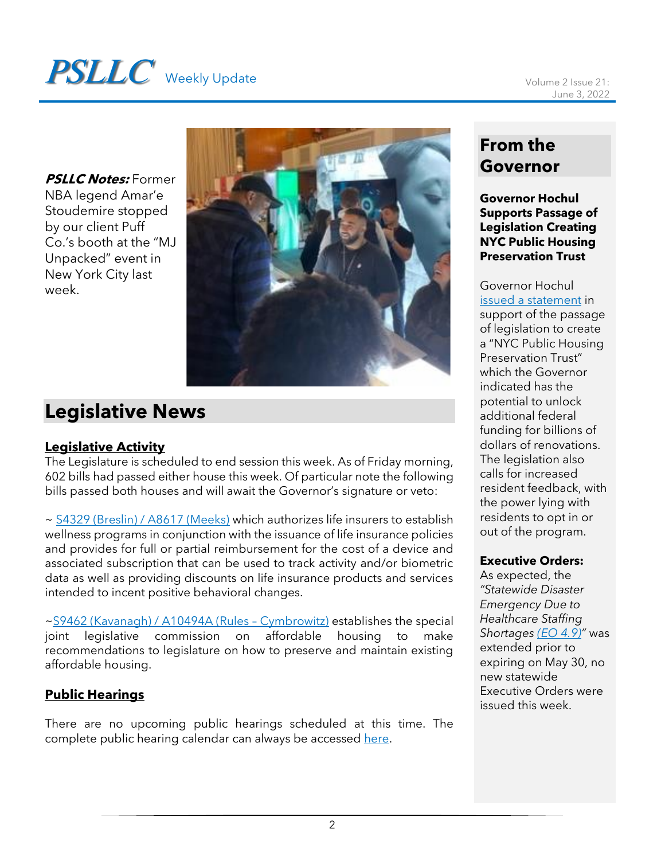# **PSLLC** Weekly Update Volume 2 Issue 21:

**PSLLC Notes:** Former NBA legend Amar'e Stoudemire stopped by our client Puff Co.'s booth at the "MJ Unpacked" event in New York City last week.



# **Legislative News**

#### **Legislative Activity**

The Legislature is scheduled to end session this week. As of Friday morning, 602 bills had passed either house this week. Of particular note the following bills passed both houses and will await the Governor's signature or veto:

~ [S4329 \(Breslin\) / A8617 \(Meeks\)](https://www.nysenate.gov/legislation/bills/2021/s4329) which authorizes life insurers to establish wellness programs in conjunction with the issuance of life insurance policies and provides for full or partial reimbursement for the cost of a device and associated subscription that can be used to track activity and/or biometric data as well as providing discounts on life insurance products and services intended to incent positive behavioral changes.

[~S9462 \(Kavanagh\) / A10494A \(Rules](https://www.nysenate.gov/legislation/bills/2021/s9462) – Cymbrowitz) establishes the special joint legislative commission on affordable housing to make recommendations to legislature on how to preserve and maintain existing affordable housing.

#### **Public Hearings**

There are no upcoming public hearings scheduled at this time. The complete public hearing calendar can always be accessed [here.](https://www.nyassembly.gov/leg/?sh=hear)

## **From the Governor**

**Governor Hochul Supports Passage of Legislation Creating NYC Public Housing Preservation Trust**

Governor Hochul [issued a statement](https://www.governor.ny.gov/news/statement-governor-kathy-hochul-passage-legislation-creating-new-york-city-public-housing) in support of the passage of legislation to create a "NYC Public Housing Preservation Trust" which the Governor indicated has the potential to unlock additional federal funding for billions of dollars of renovations. The legislation also calls for increased resident feedback, with the power lying with residents to opt in or out of the program.

#### **Executive Orders:**

As expected, the *"Statewide Disaster Emergency Due to Healthcare Staffing Shortages [\(EO 4.9\)](https://www.governor.ny.gov/executive-order/no-49-continuing-declaration-statewide-disaster-emergency-due-healthcare-staffing)"* was extended prior to expiring on May 30, no new statewide Executive Orders were issued this week.